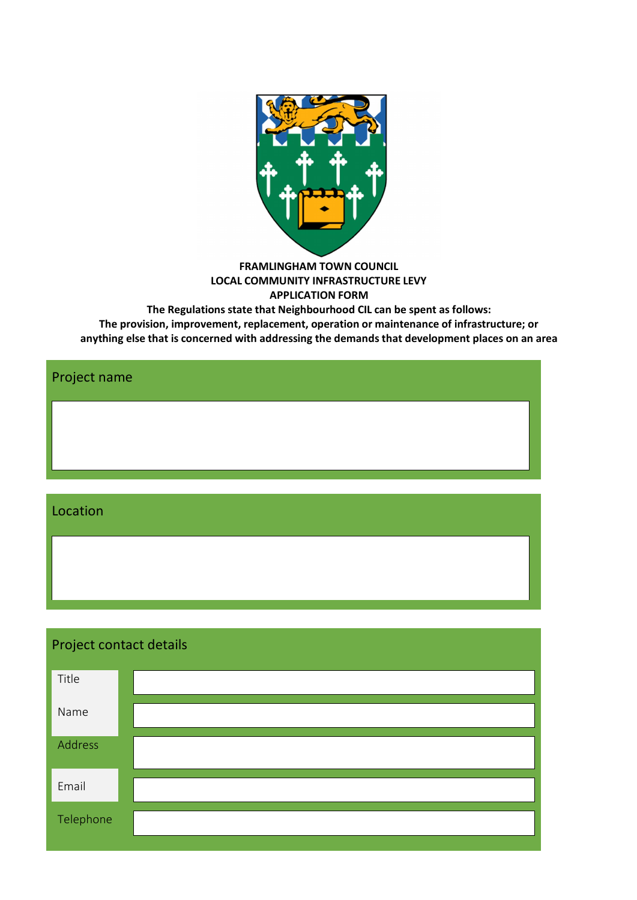

**FRAMLINGHAM TOWN COUNCIL LOCAL COMMUNITY INFRASTRUCTURE LEVY APPLICATION FORM**

**The Regulations state that Neighbourhood CIL can be spent as follows: The provision, improvement, replacement, operation or maintenance of infrastructure; or anything else that is concerned with addressing the demands that development places on an area**

Project name Location

| Project contact details |  |  |  |  |
|-------------------------|--|--|--|--|
| Title                   |  |  |  |  |
| Name                    |  |  |  |  |
| Address                 |  |  |  |  |
| Email                   |  |  |  |  |
| Telephone               |  |  |  |  |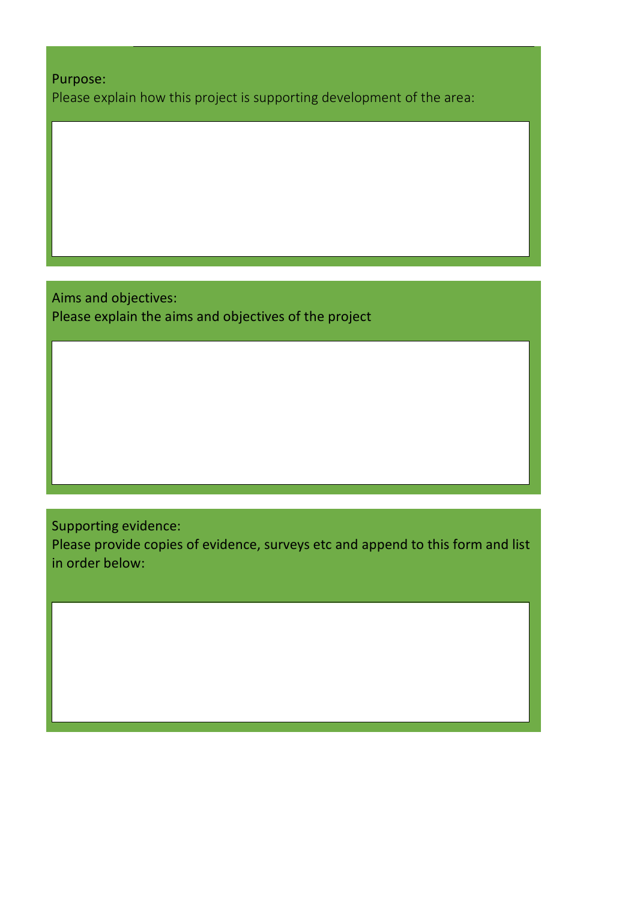Purpose:

Please explain how this project is supporting development of the area:

Aims and objectives: Please explain the aims and objectives of the project

Supporting evidence:

Please provide copies of evidence, surveys etc and append to this form and list in order below: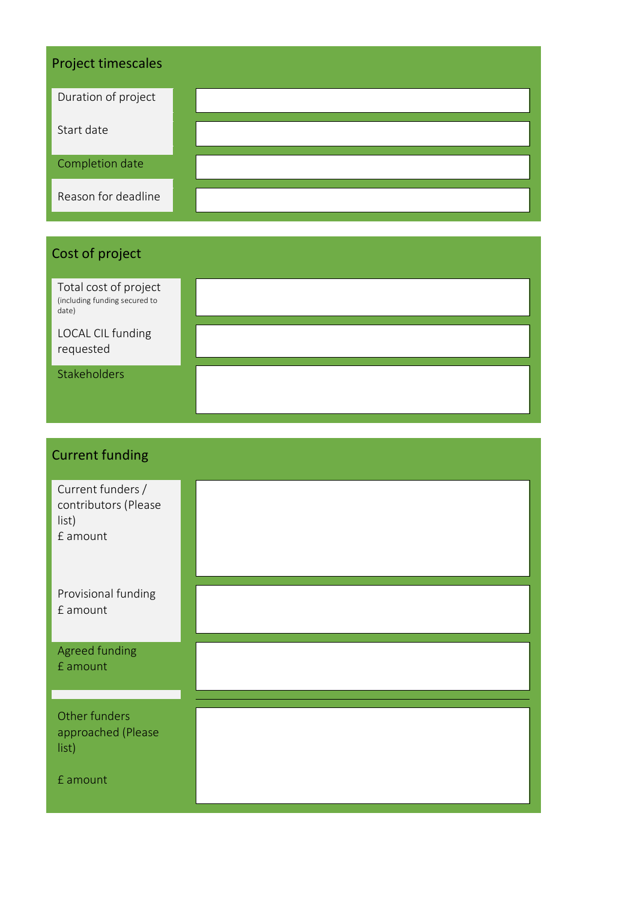| <b>Project timescales</b> |  |  |  |  |
|---------------------------|--|--|--|--|
| Duration of project       |  |  |  |  |
| Start date                |  |  |  |  |
| Completion date           |  |  |  |  |
| Reason for deadline       |  |  |  |  |

## Cost of project

| Total cost of project<br>(including funding secured to<br>date) |  |
|-----------------------------------------------------------------|--|
| LOCAL CIL funding<br>requested                                  |  |
| Stakeholders                                                    |  |

| <b>Current funding</b>                                         |  |  |  |
|----------------------------------------------------------------|--|--|--|
| Current funders /<br>contributors (Please<br>list)<br>£ amount |  |  |  |
| Provisional funding<br>£ amount                                |  |  |  |
| Agreed funding<br>£ amount                                     |  |  |  |
| Other funders<br>approached (Please<br>list)                   |  |  |  |
| £ amount                                                       |  |  |  |